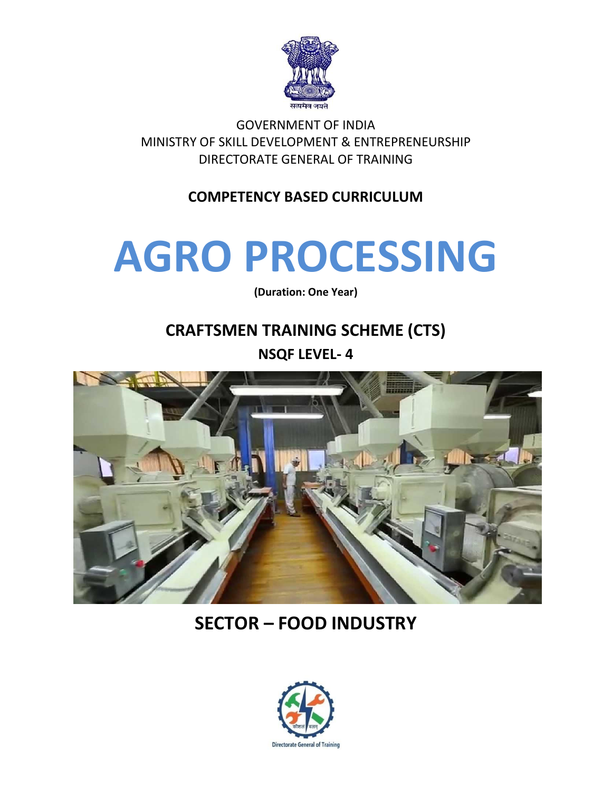

GOVERNMENT OF INDIA MINISTRY OF SKILL DEVELOPMENT & ENTREPRENEURSHIP DIRECTORATE GENERAL OF TRAINING

#### **COMPETENCY BASED CURRICULUM**

# **AGRO PROCESSING**

**(Duration: One Year)**

## **CRAFTSMEN TRAINING SCHEME (CTS)**

**NSQF LEVEL- 4**



## **SECTOR – FOOD INDUSTRY**

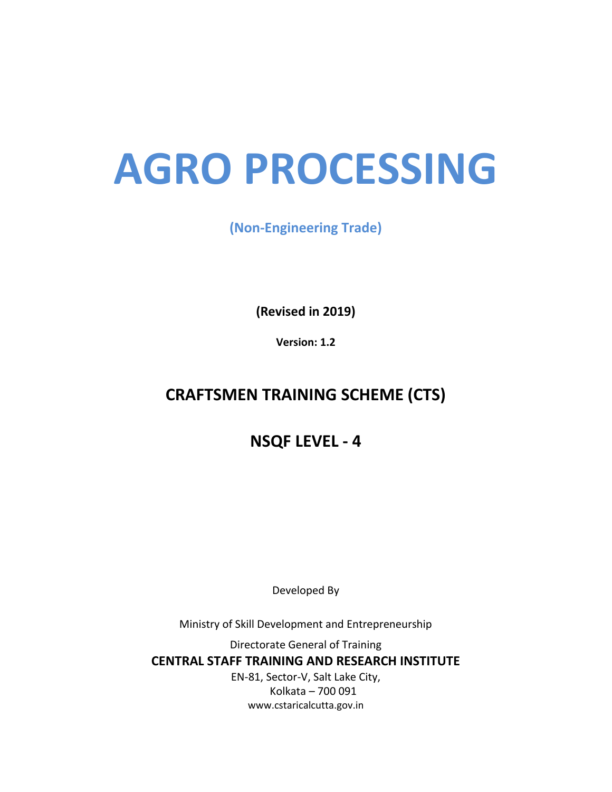## **AGRO PROCESSING**

#### **(Non-Engineering Trade)**

**(Revised in 2019)**

**Version: 1.2**

### **CRAFTSMEN TRAINING SCHEME (CTS)**

**NSQF LEVEL - 4**

Developed By

Ministry of Skill Development and Entrepreneurship

Directorate General of Training **CENTRAL STAFF TRAINING AND RESEARCH INSTITUTE** EN-81, Sector-V, Salt Lake City, Kolkata – 700 091

www.cstaricalcutta.gov.in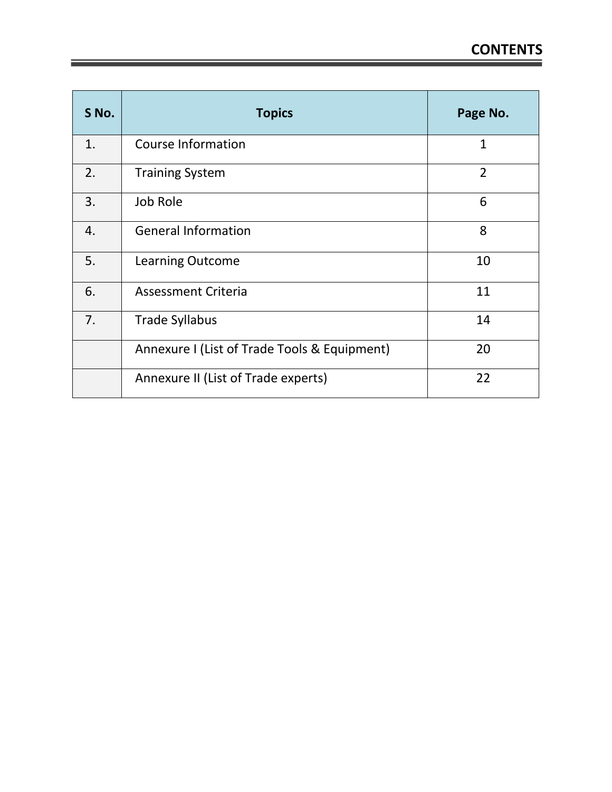| S No. | <b>Topics</b>                                | Page No.       |
|-------|----------------------------------------------|----------------|
| 1.    | <b>Course Information</b>                    | $\mathbf{1}$   |
| 2.    | <b>Training System</b>                       | $\overline{2}$ |
| 3.    | Job Role                                     | 6              |
| 4.    | <b>General Information</b>                   | 8              |
| 5.    | <b>Learning Outcome</b>                      | 10             |
| 6.    | <b>Assessment Criteria</b>                   | 11             |
| 7.    | <b>Trade Syllabus</b>                        | 14             |
|       | Annexure I (List of Trade Tools & Equipment) | 20             |
|       | Annexure II (List of Trade experts)          | 22             |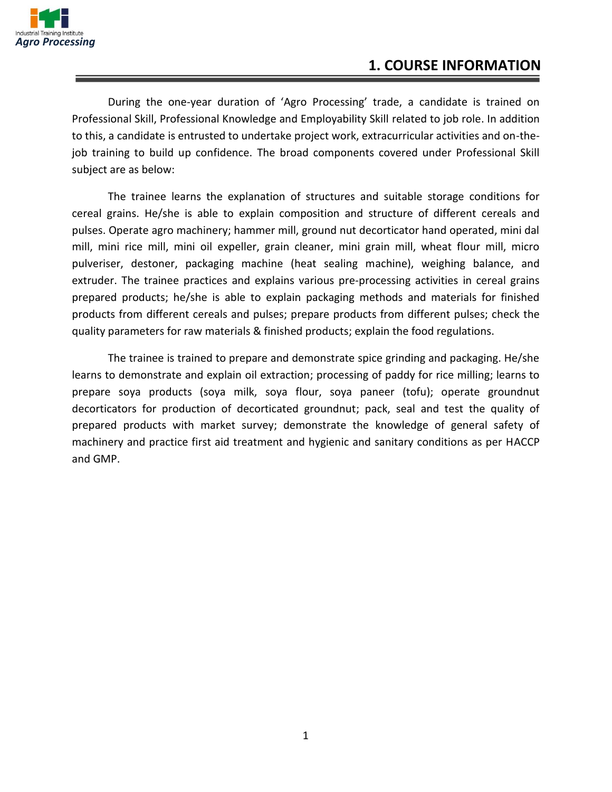

During the one-year duration of 'Agro Processing' trade, a candidate is trained on Professional Skill, Professional Knowledge and Employability Skill related to job role. In addition to this, a candidate is entrusted to undertake project work, extracurricular activities and on-thejob training to build up confidence. The broad components covered under Professional Skill subject are as below:

The trainee learns the explanation of structures and suitable storage conditions for cereal grains. He/she is able to explain composition and structure of different cereals and pulses. Operate agro machinery; hammer mill, ground nut decorticator hand operated, mini dal mill, mini rice mill, mini oil expeller, grain cleaner, mini grain mill, wheat flour mill, micro pulveriser, destoner, packaging machine (heat sealing machine), weighing balance, and extruder. The trainee practices and explains various pre-processing activities in cereal grains prepared products; he/she is able to explain packaging methods and materials for finished products from different cereals and pulses; prepare products from different pulses; check the quality parameters for raw materials & finished products; explain the food regulations.

The trainee is trained to prepare and demonstrate spice grinding and packaging. He/she learns to demonstrate and explain oil extraction; processing of paddy for rice milling; learns to prepare soya products (soya milk, soya flour, soya paneer (tofu); operate groundnut decorticators for production of decorticated groundnut; pack, seal and test the quality of prepared products with market survey; demonstrate the knowledge of general safety of machinery and practice first aid treatment and hygienic and sanitary conditions as per HACCP and GMP.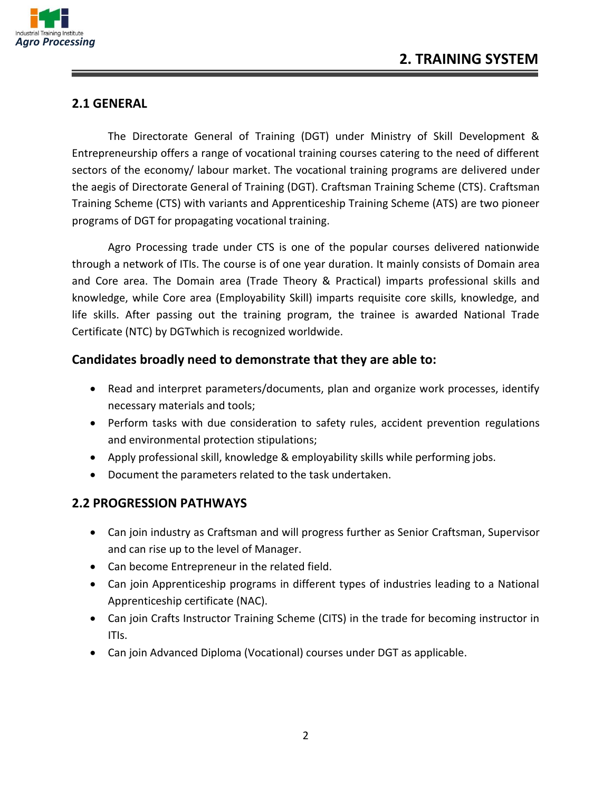

#### **2.1 GENERAL**

The Directorate General of Training (DGT) under Ministry of Skill Development & Entrepreneurship offers a range of vocational training courses catering to the need of different sectors of the economy/ labour market. The vocational training programs are delivered under the aegis of Directorate General of Training (DGT). Craftsman Training Scheme (CTS). Craftsman Training Scheme (CTS) with variants and Apprenticeship Training Scheme (ATS) are two pioneer programs of DGT for propagating vocational training.

Agro Processing trade under CTS is one of the popular courses delivered nationwide through a network of ITIs. The course is of one year duration. It mainly consists of Domain area and Core area. The Domain area (Trade Theory & Practical) imparts professional skills and knowledge, while Core area (Employability Skill) imparts requisite core skills, knowledge, and life skills. After passing out the training program, the trainee is awarded National Trade Certificate (NTC) by DGTwhich is recognized worldwide.

#### **Candidates broadly need to demonstrate that they are able to:**

- Read and interpret parameters/documents, plan and organize work processes, identify necessary materials and tools;
- Perform tasks with due consideration to safety rules, accident prevention regulations and environmental protection stipulations;
- Apply professional skill, knowledge & employability skills while performing jobs.
- Document the parameters related to the task undertaken.

#### **2.2 PROGRESSION PATHWAYS**

- Can join industry as Craftsman and will progress further as Senior Craftsman, Supervisor and can rise up to the level of Manager.
- Can become Entrepreneur in the related field.
- Can join Apprenticeship programs in different types of industries leading to a National Apprenticeship certificate (NAC).
- Can join Crafts Instructor Training Scheme (CITS) in the trade for becoming instructor in ITIs.
- Can join Advanced Diploma (Vocational) courses under DGT as applicable.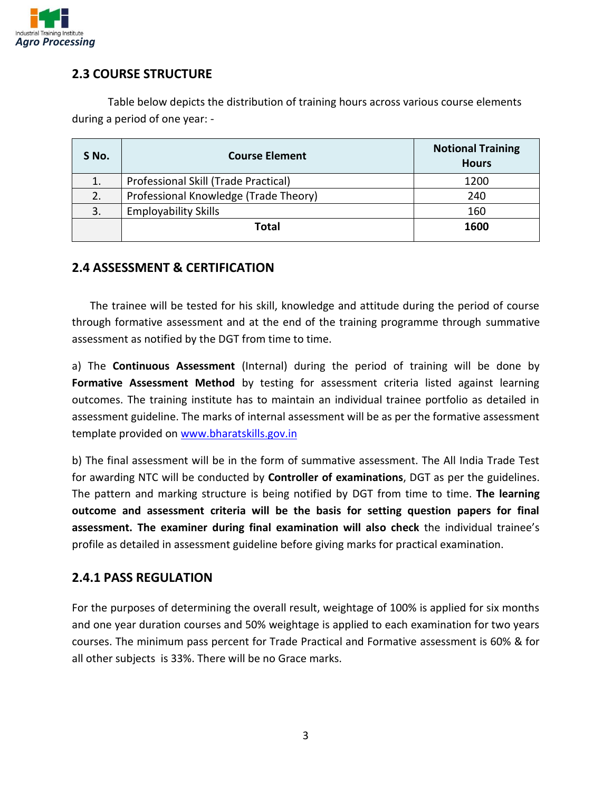

#### **2.3 COURSE STRUCTURE**

Table below depicts the distribution of training hours across various course elements during a period of one year: -

| S No. | <b>Course Element</b>                 | <b>Notional Training</b><br><b>Hours</b> |
|-------|---------------------------------------|------------------------------------------|
|       | Professional Skill (Trade Practical)  | 1200                                     |
| 2.    | Professional Knowledge (Trade Theory) | 240                                      |
| 3.    | <b>Employability Skills</b>           | 160                                      |
|       | Total                                 | 1600                                     |

#### **2.4 ASSESSMENT & CERTIFICATION**

The trainee will be tested for his skill, knowledge and attitude during the period of course through formative assessment and at the end of the training programme through summative assessment as notified by the DGT from time to time.

a) The **Continuous Assessment** (Internal) during the period of training will be done by **Formative Assessment Method** by testing for assessment criteria listed against learning outcomes. The training institute has to maintain an individual trainee portfolio as detailed in assessment guideline. The marks of internal assessment will be as per the formative assessment template provided on [www.bharatskills.gov.in](http://www.bharatskills.gov.in/)

b) The final assessment will be in the form of summative assessment. The All India Trade Test for awarding NTC will be conducted by **Controller of examinations**, DGT as per the guidelines. The pattern and marking structure is being notified by DGT from time to time. **The learning outcome and assessment criteria will be the basis for setting question papers for final assessment. The examiner during final examination will also check** the individual trainee's profile as detailed in assessment guideline before giving marks for practical examination.

#### **2.4.1 PASS REGULATION**

For the purposes of determining the overall result, weightage of 100% is applied for six months and one year duration courses and 50% weightage is applied to each examination for two years courses. The minimum pass percent for Trade Practical and Formative assessment is 60% & for all other subjects is 33%. There will be no Grace marks.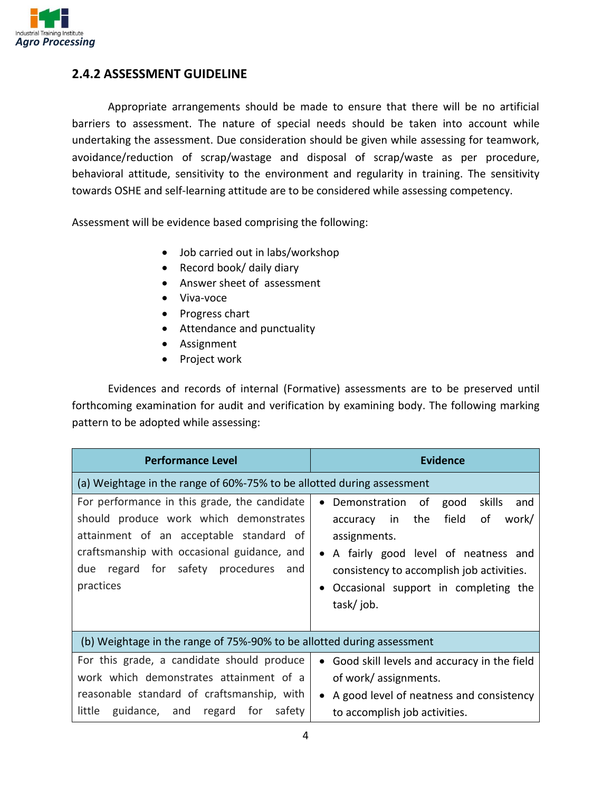

#### **2.4.2 ASSESSMENT GUIDELINE**

Appropriate arrangements should be made to ensure that there will be no artificial barriers to assessment. The nature of special needs should be taken into account while undertaking the assessment. Due consideration should be given while assessing for teamwork, avoidance/reduction of scrap/wastage and disposal of scrap/waste as per procedure, behavioral attitude, sensitivity to the environment and regularity in training. The sensitivity towards OSHE and self-learning attitude are to be considered while assessing competency.

Assessment will be evidence based comprising the following:

- Job carried out in labs/workshop
- Record book/ daily diary
- Answer sheet of assessment
- Viva-voce
- Progress chart
- Attendance and punctuality
- Assignment
- Project work

Evidences and records of internal (Formative) assessments are to be preserved until forthcoming examination for audit and verification by examining body. The following marking pattern to be adopted while assessing:

| <b>Performance Level</b>                                                                                                                                                                                                                    | <b>Evidence</b>                                                                                                                                                                                                                                 |
|---------------------------------------------------------------------------------------------------------------------------------------------------------------------------------------------------------------------------------------------|-------------------------------------------------------------------------------------------------------------------------------------------------------------------------------------------------------------------------------------------------|
| (a) Weightage in the range of 60%-75% to be allotted during assessment                                                                                                                                                                      |                                                                                                                                                                                                                                                 |
| For performance in this grade, the candidate<br>should produce work which demonstrates<br>attainment of an acceptable standard of<br>craftsmanship with occasional guidance, and<br>regard for safety procedures<br>due<br>and<br>practices | skills<br>Demonstration of<br>good<br>and<br>field<br>work/<br>accuracy in the<br>οf<br>assignments.<br>• A fairly good level of neatness and<br>consistency to accomplish job activities.<br>Occasional support in completing the<br>task/job. |
| (b) Weightage in the range of 75%-90% to be allotted during assessment                                                                                                                                                                      |                                                                                                                                                                                                                                                 |
| For this grade, a candidate should produce<br>work which demonstrates attainment of a<br>reasonable standard of craftsmanship, with<br>guidance, and regard for<br>little<br>safety                                                         | • Good skill levels and accuracy in the field<br>of work/assignments.<br>A good level of neatness and consistency<br>to accomplish job activities.                                                                                              |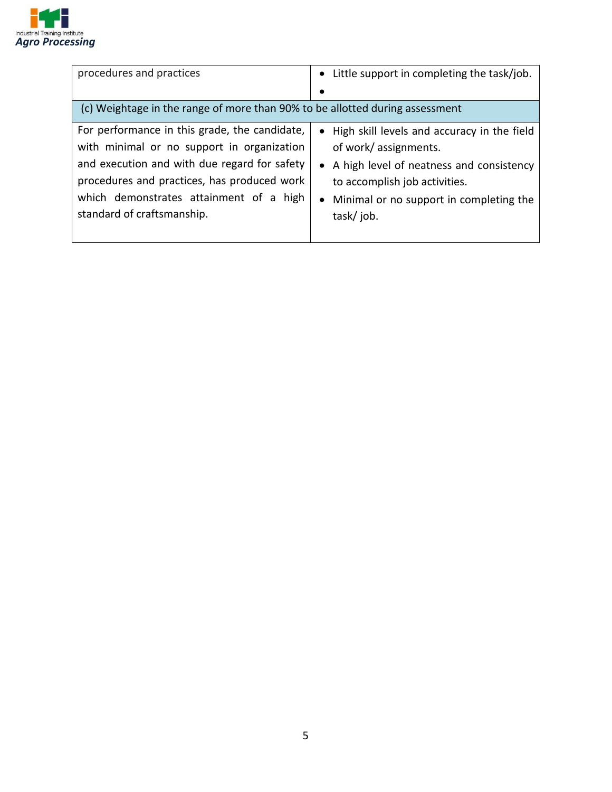

| procedures and practices                                                                                                                                                                                                                                            | • Little support in completing the task/job.                                                                                                                                                                   |
|---------------------------------------------------------------------------------------------------------------------------------------------------------------------------------------------------------------------------------------------------------------------|----------------------------------------------------------------------------------------------------------------------------------------------------------------------------------------------------------------|
| (c) Weightage in the range of more than 90% to be allotted during assessment                                                                                                                                                                                        |                                                                                                                                                                                                                |
| For performance in this grade, the candidate,<br>with minimal or no support in organization<br>and execution and with due regard for safety<br>procedures and practices, has produced work<br>which demonstrates attainment of a high<br>standard of craftsmanship. | • High skill levels and accuracy in the field<br>of work/assignments.<br>• A high level of neatness and consistency<br>to accomplish job activities.<br>• Minimal or no support in completing the<br>task/job. |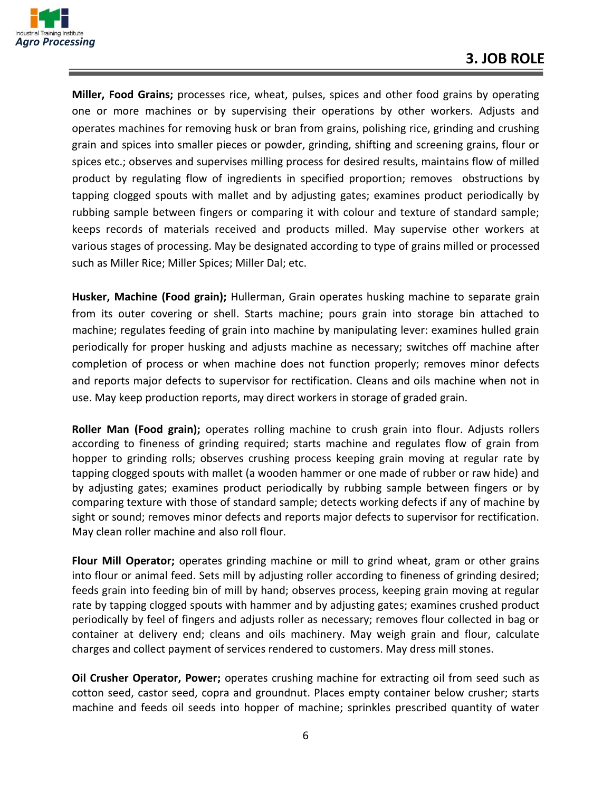

**Miller, Food Grains;** processes rice, wheat, pulses, spices and other food grains by operating one or more machines or by supervising their operations by other workers. Adjusts and operates machines for removing husk or bran from grains, polishing rice, grinding and crushing grain and spices into smaller pieces or powder, grinding, shifting and screening grains, flour or spices etc.; observes and supervises milling process for desired results, maintains flow of milled product by regulating flow of ingredients in specified proportion; removes obstructions by tapping clogged spouts with mallet and by adjusting gates; examines product periodically by rubbing sample between fingers or comparing it with colour and texture of standard sample; keeps records of materials received and products milled. May supervise other workers at various stages of processing. May be designated according to type of grains milled or processed such as Miller Rice; Miller Spices; Miller Dal; etc.

**Husker, Machine (Food grain);** Hullerman, Grain operates husking machine to separate grain from its outer covering or shell. Starts machine; pours grain into storage bin attached to machine; regulates feeding of grain into machine by manipulating lever: examines hulled grain periodically for proper husking and adjusts machine as necessary; switches off machine after completion of process or when machine does not function properly; removes minor defects and reports major defects to supervisor for rectification. Cleans and oils machine when not in use. May keep production reports, may direct workers in storage of graded grain.

**Roller Man (Food grain);** operates rolling machine to crush grain into flour. Adjusts rollers according to fineness of grinding required; starts machine and regulates flow of grain from hopper to grinding rolls; observes crushing process keeping grain moving at regular rate by tapping clogged spouts with mallet (a wooden hammer or one made of rubber or raw hide) and by adjusting gates; examines product periodically by rubbing sample between fingers or by comparing texture with those of standard sample; detects working defects if any of machine by sight or sound; removes minor defects and reports major defects to supervisor for rectification. May clean roller machine and also roll flour.

**Flour Mill Operator;** operates grinding machine or mill to grind wheat, gram or other grains into flour or animal feed. Sets mill by adjusting roller according to fineness of grinding desired; feeds grain into feeding bin of mill by hand; observes process, keeping grain moving at regular rate by tapping clogged spouts with hammer and by adjusting gates; examines crushed product periodically by feel of fingers and adjusts roller as necessary; removes flour collected in bag or container at delivery end; cleans and oils machinery. May weigh grain and flour, calculate charges and collect payment of services rendered to customers. May dress mill stones.

**Oil Crusher Operator, Power;** operates crushing machine for extracting oil from seed such as cotton seed, castor seed, copra and groundnut. Places empty container below crusher; starts machine and feeds oil seeds into hopper of machine; sprinkles prescribed quantity of water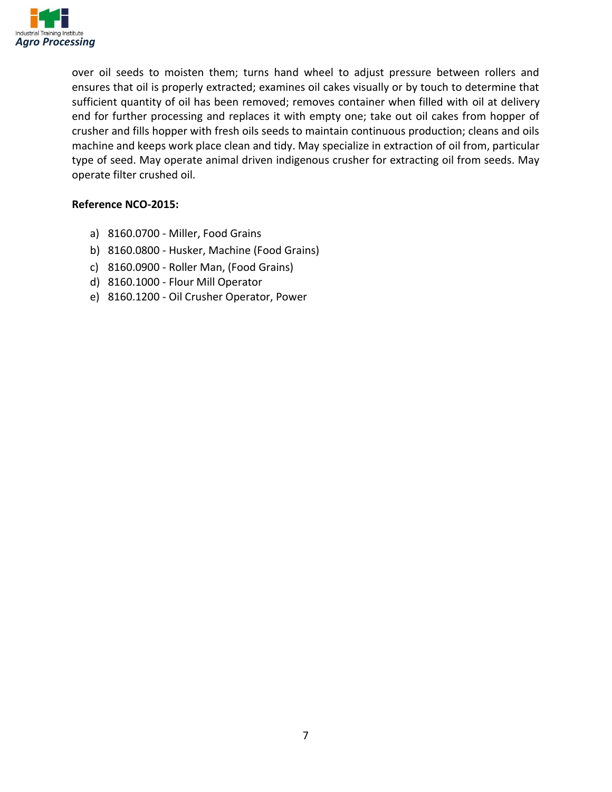

over oil seeds to moisten them; turns hand wheel to adjust pressure between rollers and ensures that oil is properly extracted; examines oil cakes visually or by touch to determine that sufficient quantity of oil has been removed; removes container when filled with oil at delivery end for further processing and replaces it with empty one; take out oil cakes from hopper of crusher and fills hopper with fresh oils seeds to maintain continuous production; cleans and oils machine and keeps work place clean and tidy. May specialize in extraction of oil from, particular type of seed. May operate animal driven indigenous crusher for extracting oil from seeds. May operate filter crushed oil.

#### **Reference NCO-2015:**

- a) 8160.0700 Miller, Food Grains
- b) 8160.0800 Husker, Machine (Food Grains)
- c) 8160.0900 Roller Man, (Food Grains)
- d) 8160.1000 Flour Mill Operator
- e) 8160.1200 Oil Crusher Operator, Power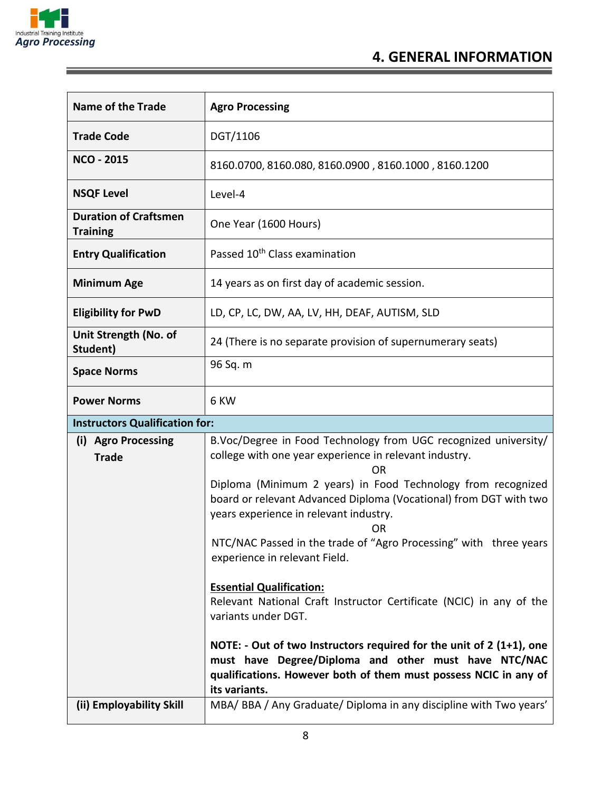

| <b>Name of the Trade</b>                        | <b>Agro Processing</b>                                                                                                                                                                                              |
|-------------------------------------------------|---------------------------------------------------------------------------------------------------------------------------------------------------------------------------------------------------------------------|
| <b>Trade Code</b>                               | DGT/1106                                                                                                                                                                                                            |
| <b>NCO - 2015</b>                               | 8160.0700, 8160.080, 8160.0900, 8160.1000, 8160.1200                                                                                                                                                                |
| <b>NSQF Level</b>                               | Level-4                                                                                                                                                                                                             |
| <b>Duration of Craftsmen</b><br><b>Training</b> | One Year (1600 Hours)                                                                                                                                                                                               |
| <b>Entry Qualification</b>                      | Passed 10 <sup>th</sup> Class examination                                                                                                                                                                           |
| <b>Minimum Age</b>                              | 14 years as on first day of academic session.                                                                                                                                                                       |
| <b>Eligibility for PwD</b>                      | LD, CP, LC, DW, AA, LV, HH, DEAF, AUTISM, SLD                                                                                                                                                                       |
| Unit Strength (No. of<br>Student)               | 24 (There is no separate provision of supernumerary seats)                                                                                                                                                          |
| <b>Space Norms</b>                              | 96 Sq. m                                                                                                                                                                                                            |
| <b>Power Norms</b>                              | 6 KW                                                                                                                                                                                                                |
| <b>Instructors Qualification for:</b>           |                                                                                                                                                                                                                     |
| (i) Agro Processing<br><b>Trade</b>             | B.Voc/Degree in Food Technology from UGC recognized university/<br>college with one year experience in relevant industry.<br>OR                                                                                     |
|                                                 | Diploma (Minimum 2 years) in Food Technology from recognized<br>board or relevant Advanced Diploma (Vocational) from DGT with two<br>years experience in relevant industry.<br>0R                                   |
|                                                 | NTC/NAC Passed in the trade of "Agro Processing" with three years<br>experience in relevant Field.                                                                                                                  |
|                                                 | <b>Essential Qualification:</b><br>Relevant National Craft Instructor Certificate (NCIC) in any of the<br>variants under DGT.                                                                                       |
|                                                 | NOTE: - Out of two Instructors required for the unit of $2(1+1)$ , one<br>must have Degree/Diploma and other must have NTC/NAC<br>qualifications. However both of them must possess NCIC in any of<br>its variants. |
| (ii) Employability Skill                        | MBA/ BBA / Any Graduate/ Diploma in any discipline with Two years'                                                                                                                                                  |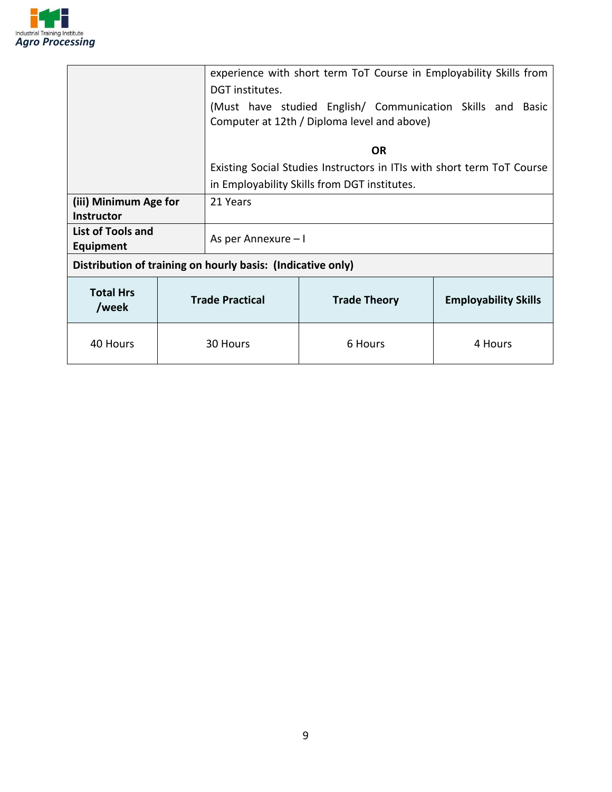

|                                                             |  | experience with short term ToT Course in Employability Skills from<br>DGT institutes. |  |  |                     |                                                                                                           |                             |  |
|-------------------------------------------------------------|--|---------------------------------------------------------------------------------------|--|--|---------------------|-----------------------------------------------------------------------------------------------------------|-----------------------------|--|
|                                                             |  |                                                                                       |  |  |                     | (Must have studied English/ Communication Skills and Basic<br>Computer at 12th / Diploma level and above) |                             |  |
|                                                             |  | <b>OR</b>                                                                             |  |  |                     |                                                                                                           |                             |  |
|                                                             |  |                                                                                       |  |  |                     | Existing Social Studies Instructors in ITIs with short term ToT Course                                    |                             |  |
|                                                             |  | in Employability Skills from DGT institutes.                                          |  |  |                     |                                                                                                           |                             |  |
| (iii) Minimum Age for                                       |  | 21 Years                                                                              |  |  |                     |                                                                                                           |                             |  |
| Instructor                                                  |  |                                                                                       |  |  |                     |                                                                                                           |                             |  |
| List of Tools and<br>Equipment                              |  | As per Annexure - I                                                                   |  |  |                     |                                                                                                           |                             |  |
| Distribution of training on hourly basis: (Indicative only) |  |                                                                                       |  |  |                     |                                                                                                           |                             |  |
| <b>Total Hrs</b><br>/week                                   |  | <b>Trade Practical</b>                                                                |  |  | <b>Trade Theory</b> |                                                                                                           | <b>Employability Skills</b> |  |
| 40 Hours                                                    |  | 30 Hours                                                                              |  |  | 6 Hours             |                                                                                                           | 4 Hours                     |  |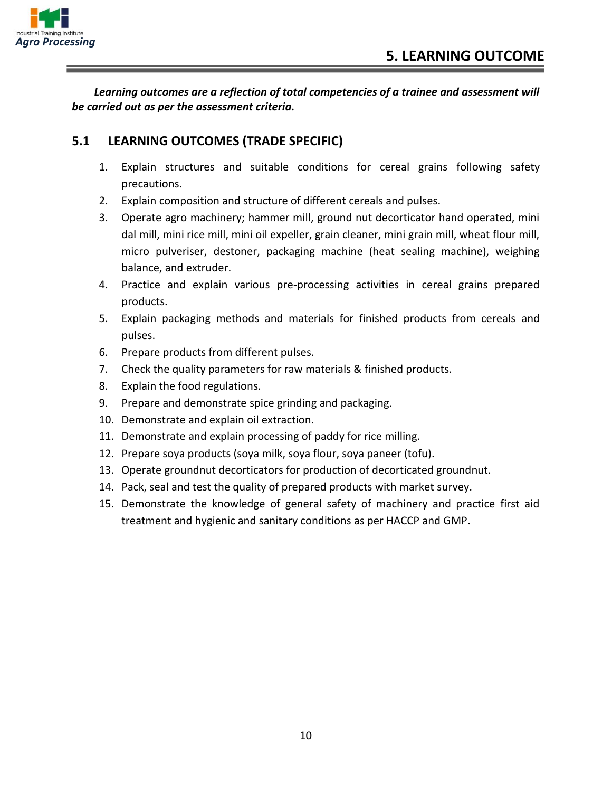

*Learning outcomes are a reflection of total competencies of a trainee and assessment will be carried out as per the assessment criteria.*

#### **5.1 LEARNING OUTCOMES (TRADE SPECIFIC)**

- 1. Explain structures and suitable conditions for cereal grains following safety precautions.
- 2. Explain composition and structure of different cereals and pulses.
- 3. Operate agro machinery; hammer mill, ground nut decorticator hand operated, mini dal mill, mini rice mill, mini oil expeller, grain cleaner, mini grain mill, wheat flour mill, micro pulveriser, destoner, packaging machine (heat sealing machine), weighing balance, and extruder.
- 4. Practice and explain various pre-processing activities in cereal grains prepared products.
- 5. Explain packaging methods and materials for finished products from cereals and pulses.
- 6. Prepare products from different pulses.
- 7. Check the quality parameters for raw materials & finished products.
- 8. Explain the food regulations.
- 9. Prepare and demonstrate spice grinding and packaging.
- 10. Demonstrate and explain oil extraction.
- 11. Demonstrate and explain processing of paddy for rice milling.
- 12. Prepare soya products (soya milk, soya flour, soya paneer (tofu).
- 13. Operate groundnut decorticators for production of decorticated groundnut.
- 14. Pack, seal and test the quality of prepared products with market survey.
- 15. Demonstrate the knowledge of general safety of machinery and practice first aid treatment and hygienic and sanitary conditions as per HACCP and GMP.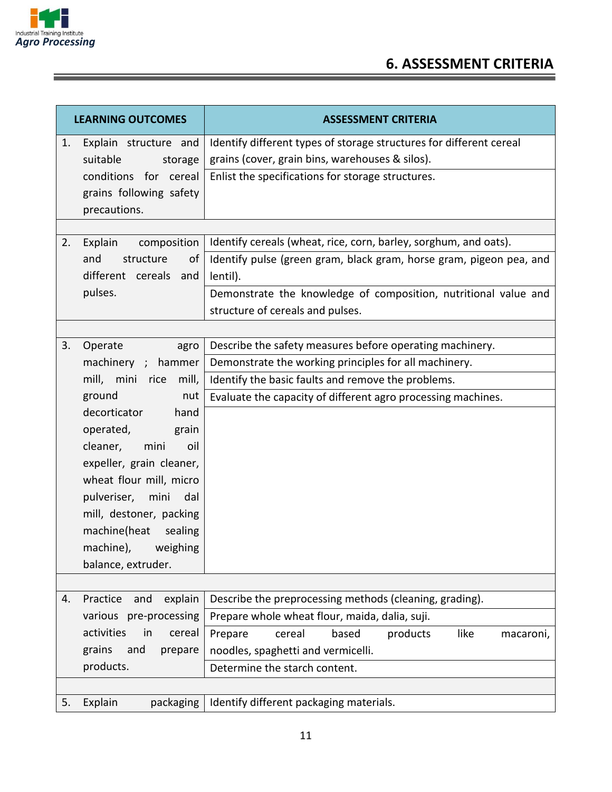

### **6. ASSESSMENT CRITERIA**

|    | <b>LEARNING OUTCOMES</b>   | <b>ASSESSMENT CRITERIA</b>                                          |  |  |
|----|----------------------------|---------------------------------------------------------------------|--|--|
| 1. | Explain structure and      | Identify different types of storage structures for different cereal |  |  |
|    | suitable<br>storage        | grains (cover, grain bins, warehouses & silos).                     |  |  |
|    | conditions for cereal      | Enlist the specifications for storage structures.                   |  |  |
|    | grains following safety    |                                                                     |  |  |
|    | precautions.               |                                                                     |  |  |
|    |                            |                                                                     |  |  |
| 2. | Explain<br>composition     | Identify cereals (wheat, rice, corn, barley, sorghum, and oats).    |  |  |
|    | and<br>structure<br>of     | Identify pulse (green gram, black gram, horse gram, pigeon pea, and |  |  |
|    | different cereals<br>and   | lentil).                                                            |  |  |
|    | pulses.                    | Demonstrate the knowledge of composition, nutritional value and     |  |  |
|    |                            | structure of cereals and pulses.                                    |  |  |
|    |                            |                                                                     |  |  |
| 3. | Operate<br>agro            | Describe the safety measures before operating machinery.            |  |  |
|    | machinery ; hammer         | Demonstrate the working principles for all machinery.               |  |  |
|    | mill, mini rice<br>mill,   | Identify the basic faults and remove the problems.                  |  |  |
|    | ground<br>nut              | Evaluate the capacity of different agro processing machines.        |  |  |
|    | decorticator<br>hand       |                                                                     |  |  |
|    | operated,<br>grain         |                                                                     |  |  |
|    | mini<br>cleaner,<br>oil    |                                                                     |  |  |
|    | expeller, grain cleaner,   |                                                                     |  |  |
|    | wheat flour mill, micro    |                                                                     |  |  |
|    | pulveriser,<br>mini<br>dal |                                                                     |  |  |
|    | mill, destoner, packing    |                                                                     |  |  |
|    | machine(heat sealing       |                                                                     |  |  |
|    | machine),<br>weighing      |                                                                     |  |  |
|    | balance, extruder.         |                                                                     |  |  |
|    |                            |                                                                     |  |  |
| 4. | Practice<br>explain<br>and | Describe the preprocessing methods (cleaning, grading).             |  |  |
|    | various pre-processing     | Prepare whole wheat flour, maida, dalia, suji.                      |  |  |
|    | activities<br>cereal<br>in | based<br>like<br>cereal<br>products<br>Prepare<br>macaroni,         |  |  |
|    | grains<br>and<br>prepare   | noodles, spaghetti and vermicelli.                                  |  |  |
|    | products.                  | Determine the starch content.                                       |  |  |
|    |                            |                                                                     |  |  |
| 5. | Explain<br>packaging       | Identify different packaging materials.                             |  |  |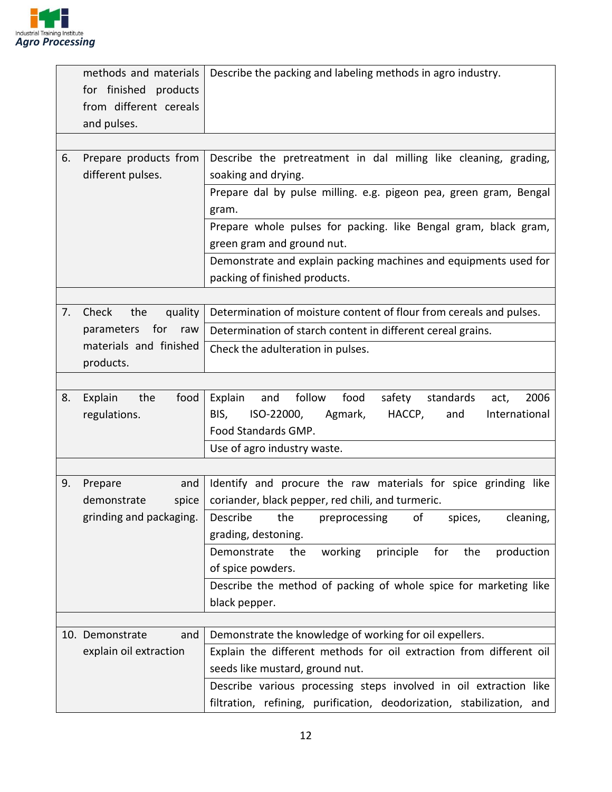

|    | methods and materials                           | Describe the packing and labeling methods in agro industry.               |  |  |
|----|-------------------------------------------------|---------------------------------------------------------------------------|--|--|
|    | for finished products                           |                                                                           |  |  |
|    | from different cereals                          |                                                                           |  |  |
|    | and pulses.                                     |                                                                           |  |  |
|    |                                                 |                                                                           |  |  |
| 6. | Prepare products from                           | Describe the pretreatment in dal milling like cleaning, grading,          |  |  |
|    | different pulses.                               | soaking and drying.                                                       |  |  |
|    |                                                 | Prepare dal by pulse milling. e.g. pigeon pea, green gram, Bengal         |  |  |
|    |                                                 | gram.                                                                     |  |  |
|    |                                                 | Prepare whole pulses for packing. like Bengal gram, black gram,           |  |  |
|    |                                                 | green gram and ground nut.                                                |  |  |
|    |                                                 | Demonstrate and explain packing machines and equipments used for          |  |  |
|    |                                                 | packing of finished products.                                             |  |  |
|    |                                                 |                                                                           |  |  |
| 7. | Check<br>the<br>quality                         | Determination of moisture content of flour from cereals and pulses.       |  |  |
|    | for<br>parameters<br>raw                        | Determination of starch content in different cereal grains.               |  |  |
|    | materials and finished                          | Check the adulteration in pulses.                                         |  |  |
|    | products.                                       |                                                                           |  |  |
|    |                                                 |                                                                           |  |  |
| 8. | Explain<br>the<br>food                          | food<br>follow<br>2006<br>safety standards<br>Explain<br>and<br>act,      |  |  |
|    | regulations.                                    | ISO-22000,<br>HACCP,<br>International<br>BIS,<br>Agmark,<br>and           |  |  |
|    |                                                 | Food Standards GMP.                                                       |  |  |
|    |                                                 | Use of agro industry waste.                                               |  |  |
|    |                                                 |                                                                           |  |  |
| 9. | Prepare<br>and                                  | Identify and procure the raw materials for spice grinding like            |  |  |
|    | demonstrate<br>spice<br>grinding and packaging. | coriander, black pepper, red chili, and turmeric.<br>Describe             |  |  |
|    |                                                 | the<br>preprocessing<br>cleaning,<br>0f<br>spices,<br>grading, destoning. |  |  |
|    |                                                 | principle<br>for<br>production<br>Demonstrate<br>the<br>working<br>the    |  |  |
|    |                                                 | of spice powders.                                                         |  |  |
|    |                                                 | Describe the method of packing of whole spice for marketing like          |  |  |
|    |                                                 | black pepper.                                                             |  |  |
|    |                                                 |                                                                           |  |  |
|    | 10. Demonstrate<br>and                          | Demonstrate the knowledge of working for oil expellers.                   |  |  |
|    | explain oil extraction                          | Explain the different methods for oil extraction from different oil       |  |  |
|    |                                                 | seeds like mustard, ground nut.                                           |  |  |
|    |                                                 | Describe various processing steps involved in oil extraction like         |  |  |
|    |                                                 | filtration, refining, purification, deodorization, stabilization, and     |  |  |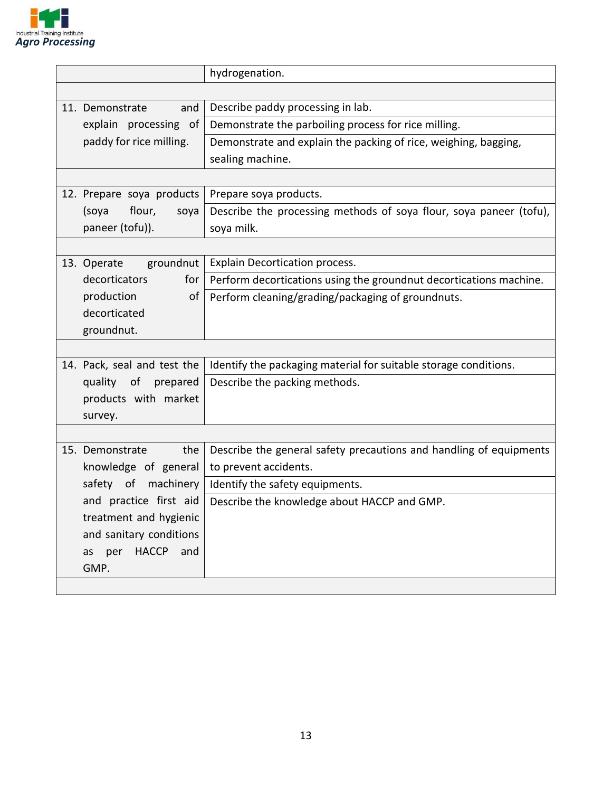

|                                  | hydrogenation.                                                     |
|----------------------------------|--------------------------------------------------------------------|
|                                  |                                                                    |
| 11. Demonstrate<br>and           | Describe paddy processing in lab.                                  |
| explain processing of            | Demonstrate the parboiling process for rice milling.               |
| paddy for rice milling.          | Demonstrate and explain the packing of rice, weighing, bagging,    |
|                                  | sealing machine.                                                   |
|                                  |                                                                    |
| 12. Prepare soya products        | Prepare soya products.                                             |
| flour,<br>(soya<br>soya          | Describe the processing methods of soya flour, soya paneer (tofu), |
| paneer (tofu)).                  | soya milk.                                                         |
|                                  |                                                                    |
| groundnut<br>13. Operate         | <b>Explain Decortication process.</b>                              |
| decorticators<br>for             | Perform decortications using the groundnut decortications machine. |
| production<br>οf                 | Perform cleaning/grading/packaging of groundnuts.                  |
| decorticated                     |                                                                    |
| groundnut.                       |                                                                    |
|                                  |                                                                    |
| 14. Pack, seal and test the      | Identify the packaging material for suitable storage conditions.   |
| quality of<br>prepared           | Describe the packing methods.                                      |
| products with market             |                                                                    |
| survey.                          |                                                                    |
|                                  |                                                                    |
| 15. Demonstrate<br>the           | Describe the general safety precautions and handling of equipments |
| knowledge of general             | to prevent accidents.                                              |
| machinery<br>safety of           | Identify the safety equipments.                                    |
| and practice first aid           | Describe the knowledge about HACCP and GMP.                        |
| treatment and hygienic           |                                                                    |
| and sanitary conditions          |                                                                    |
| <b>HACCP</b><br>and<br>per<br>as |                                                                    |
| GMP.                             |                                                                    |
|                                  |                                                                    |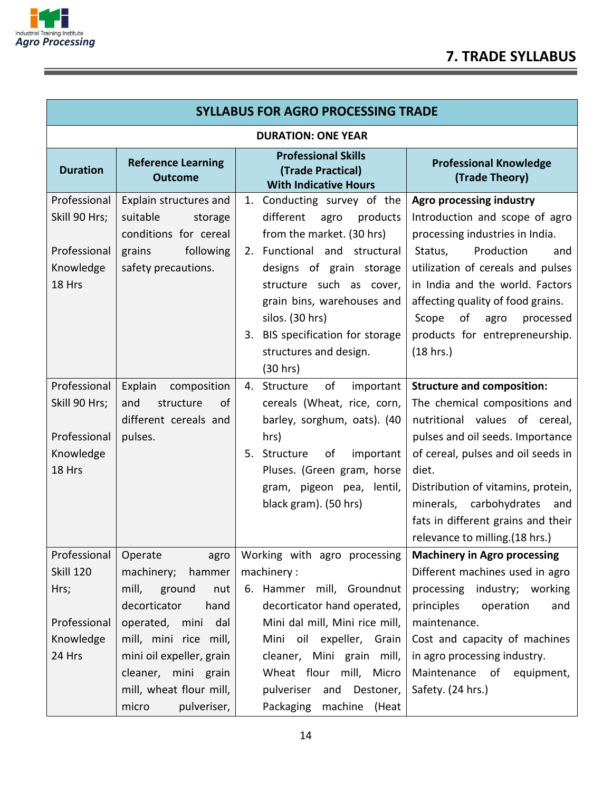

| <b>SYLLABUS FOR AGRO PROCESSING TRADE</b> |                                                  |                                                                                 |                                                                |  |  |  |  |
|-------------------------------------------|--------------------------------------------------|---------------------------------------------------------------------------------|----------------------------------------------------------------|--|--|--|--|
|                                           | <b>DURATION: ONE YEAR</b>                        |                                                                                 |                                                                |  |  |  |  |
| <b>Duration</b>                           | <b>Reference Learning</b><br>Outcome             | <b>Professional Skills</b><br>(Trade Practical)<br><b>With Indicative Hours</b> | <b>Professional Knowledge</b><br>(Trade Theory)                |  |  |  |  |
| Professional                              | Explain structures and                           | 1. Conducting survey of the                                                     | Agro processing industry                                       |  |  |  |  |
| Skill 90 Hrs;                             | suitable<br>storage                              | different<br>agro<br>products                                                   | Introduction and scope of agro                                 |  |  |  |  |
|                                           | conditions for cereal                            | from the market. (30 hrs)                                                       | processing industries in India.                                |  |  |  |  |
| Professional                              | grains<br>following                              | 2. Functional and structural                                                    | Production<br>Status,<br>and                                   |  |  |  |  |
| Knowledge                                 | safety precautions.                              | designs of grain storage                                                        | utilization of cereals and pulses                              |  |  |  |  |
| 18 Hrs                                    |                                                  | structure such as cover,                                                        | in India and the world. Factors                                |  |  |  |  |
|                                           |                                                  | grain bins, warehouses and                                                      | affecting quality of food grains.                              |  |  |  |  |
|                                           |                                                  | silos. (30 hrs)                                                                 | of<br>Scope<br>agro<br>processed                               |  |  |  |  |
|                                           |                                                  | 3. BIS specification for storage                                                | products for entrepreneurship.                                 |  |  |  |  |
|                                           |                                                  | structures and design.                                                          | (18 hrs.)                                                      |  |  |  |  |
|                                           |                                                  | (30 hrs)                                                                        |                                                                |  |  |  |  |
| Professional                              | Explain<br>composition<br>structure<br>of<br>and | of<br>4. Structure<br>important                                                 | <b>Structure and composition:</b>                              |  |  |  |  |
| Skill 90 Hrs;                             | different cereals and                            | cereals (Wheat, rice, corn,<br>barley, sorghum, oats). (40                      | The chemical compositions and<br>nutritional values of cereal, |  |  |  |  |
| Professional                              | pulses.                                          | hrs)                                                                            | pulses and oil seeds. Importance                               |  |  |  |  |
| Knowledge                                 |                                                  | 5. Structure<br>of<br>important                                                 | of cereal, pulses and oil seeds in                             |  |  |  |  |
| 18 Hrs                                    |                                                  | Pluses. (Green gram, horse                                                      | diet.                                                          |  |  |  |  |
|                                           |                                                  | gram, pigeon pea, lentil,                                                       | Distribution of vitamins, protein,                             |  |  |  |  |
|                                           |                                                  | black gram). (50 hrs)                                                           | minerals, carbohydrates<br>and                                 |  |  |  |  |
|                                           |                                                  |                                                                                 | fats in different grains and their                             |  |  |  |  |
|                                           |                                                  |                                                                                 | relevance to milling.(18 hrs.)                                 |  |  |  |  |
| Professional                              | Operate<br>agro                                  | Working with agro processing                                                    | <b>Machinery in Agro processing</b>                            |  |  |  |  |
| <b>Skill 120</b>                          | hammer<br>machinery;                             | machinery:                                                                      | Different machines used in agro                                |  |  |  |  |
| Hrs;                                      | mill,<br>ground<br>nut                           | 6. Hammer mill, Groundnut                                                       | processing<br>industry; working                                |  |  |  |  |
|                                           | hand<br>decorticator                             | decorticator hand operated,                                                     | principles<br>operation<br>and                                 |  |  |  |  |
| Professional                              | operated, mini<br>dal                            | Mini dal mill, Mini rice mill,                                                  | maintenance.                                                   |  |  |  |  |
| Knowledge                                 | mill, mini rice mill,                            | Mini oil expeller, Grain                                                        | Cost and capacity of machines                                  |  |  |  |  |
| 24 Hrs                                    | mini oil expeller, grain                         | cleaner, Mini grain mill,                                                       | in agro processing industry.                                   |  |  |  |  |
|                                           | cleaner, mini grain                              | Wheat flour mill, Micro                                                         | Maintenance of equipment,                                      |  |  |  |  |
|                                           | mill, wheat flour mill,                          | pulveriser<br>and Destoner,                                                     | Safety. (24 hrs.)                                              |  |  |  |  |
|                                           | pulveriser,<br>micro                             | Packaging<br>machine (Heat                                                      |                                                                |  |  |  |  |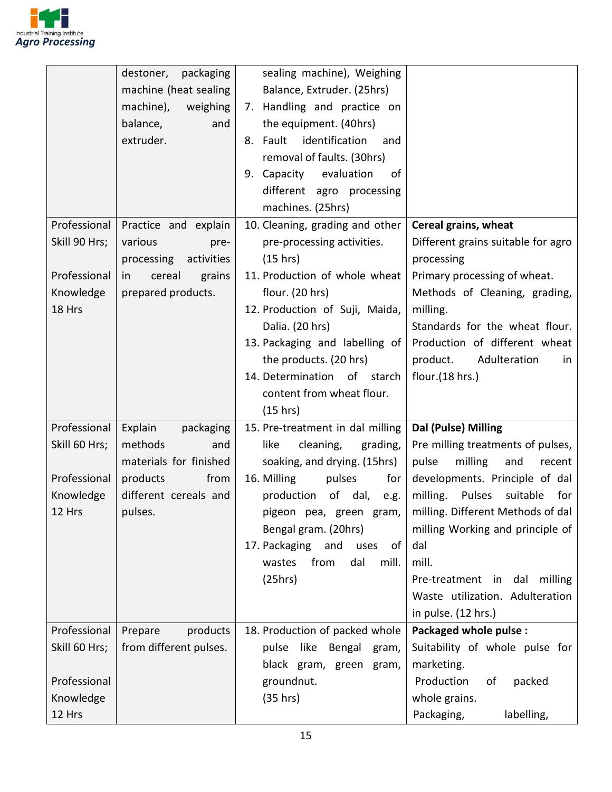

|                                                                      | destoner,<br>packaging<br>machine (heat sealing<br>machine),<br>weighing<br>balance,<br>and<br>extruder.                 | sealing machine), Weighing<br>Balance, Extruder. (25hrs)<br>7. Handling and practice on<br>the equipment. (40hrs)<br>identification<br>8. Fault<br>and<br>removal of faults. (30hrs)<br>Capacity evaluation<br>9.<br>οf<br>different agro processing<br>machines. (25hrs)                                              |                                                                                                                                                                                                                                                                                                                                                                |
|----------------------------------------------------------------------|--------------------------------------------------------------------------------------------------------------------------|------------------------------------------------------------------------------------------------------------------------------------------------------------------------------------------------------------------------------------------------------------------------------------------------------------------------|----------------------------------------------------------------------------------------------------------------------------------------------------------------------------------------------------------------------------------------------------------------------------------------------------------------------------------------------------------------|
| Professional<br>Skill 90 Hrs;<br>Professional<br>Knowledge<br>18 Hrs | Practice and explain<br>various<br>pre-<br>activities<br>processing<br>cereal<br>grains<br>in<br>prepared products.      | 10. Cleaning, grading and other<br>pre-processing activities.<br>(15 hrs)<br>11. Production of whole wheat<br>flour. (20 hrs)<br>12. Production of Suji, Maida,<br>Dalia. (20 hrs)<br>13. Packaging and labelling of<br>the products. (20 hrs)<br>14. Determination of starch<br>content from wheat flour.<br>(15 hrs) | Cereal grains, wheat<br>Different grains suitable for agro<br>processing<br>Primary processing of wheat.<br>Methods of Cleaning, grading,<br>milling.<br>Standards for the wheat flour.<br>Production of different wheat<br>product.<br>Adulteration<br>in<br>flour. $(18$ hrs.)                                                                               |
| Professional<br>Skill 60 Hrs;<br>Professional<br>Knowledge<br>12 Hrs | Explain<br>packaging<br>methods<br>and<br>materials for finished<br>products<br>from<br>different cereals and<br>pulses. | 15. Pre-treatment in dal milling<br>like<br>cleaning,<br>grading,<br>soaking, and drying. (15hrs)<br>16. Milling<br>pulses<br>for<br>production<br>of dal,<br>e.g.<br>pigeon pea, green gram,<br>Bengal gram. (20hrs)<br>17. Packaging and<br>uses<br>of<br>from<br>dal<br>mill.<br>wastes<br>(25hrs)                  | Dal (Pulse) Milling<br>Pre milling treatments of pulses,<br>pulse<br>milling<br>and<br>recent<br>developments. Principle of dal<br>milling.<br>Pulses<br>suitable<br>for<br>milling. Different Methods of dal<br>milling Working and principle of<br>dal<br>mill.<br>Pre-treatment in dal<br>milling<br>Waste utilization. Adulteration<br>in pulse. (12 hrs.) |
| Professional<br>Skill 60 Hrs;<br>Professional<br>Knowledge<br>12 Hrs | products<br>Prepare<br>from different pulses.                                                                            | 18. Production of packed whole<br>pulse like Bengal<br>gram,<br>black gram, green gram,<br>groundnut.<br>(35 hrs)                                                                                                                                                                                                      | Packaged whole pulse :<br>Suitability of whole pulse for<br>marketing.<br>Production<br>packed<br>of<br>whole grains.<br>labelling,<br>Packaging,                                                                                                                                                                                                              |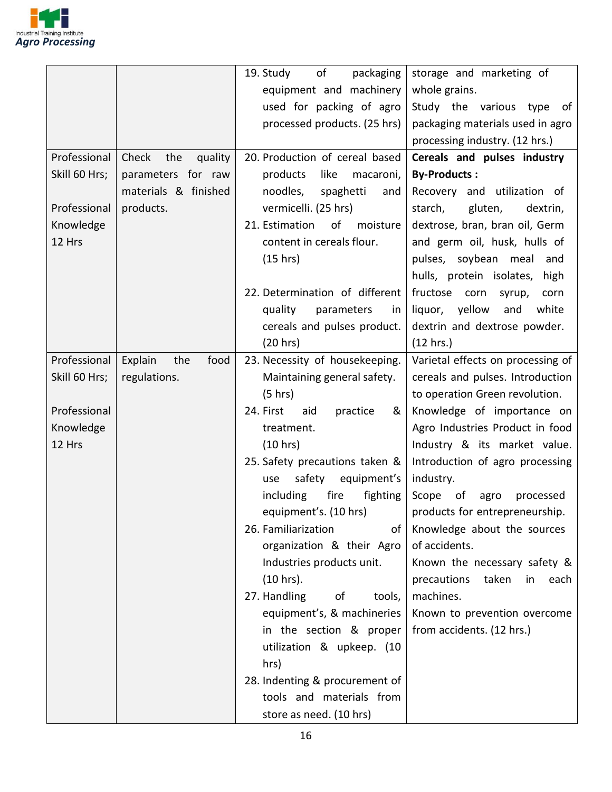

|               |                         | of<br>packaging<br>19. Study      | storage and marketing of           |
|---------------|-------------------------|-----------------------------------|------------------------------------|
|               |                         | equipment and machinery           | whole grains.                      |
|               |                         | used for packing of agro          | Study the various type<br>of       |
|               |                         | processed products. (25 hrs)      | packaging materials used in agro   |
|               |                         |                                   | processing industry. (12 hrs.)     |
| Professional  | quality<br>Check<br>the | 20. Production of cereal based    | Cereals and pulses industry        |
| Skill 60 Hrs; | parameters for raw      | products<br>like<br>macaroni,     | <b>By-Products:</b>                |
|               | materials & finished    | noodles,<br>spaghetti<br>and      | Recovery and utilization of        |
| Professional  | products.               | vermicelli. (25 hrs)              | starch,<br>gluten,<br>dextrin,     |
| Knowledge     |                         | of<br>21. Estimation<br>moisture  | dextrose, bran, bran oil, Germ     |
| 12 Hrs        |                         | content in cereals flour.         | and germ oil, husk, hulls of       |
|               |                         | (15 hrs)                          | pulses, soybean meal<br>and        |
|               |                         |                                   | hulls, protein isolates,<br>high   |
|               |                         | 22. Determination of different    | fructose<br>corn<br>syrup,<br>corn |
|               |                         | quality<br>parameters<br>in       | liquor, yellow<br>and<br>white     |
|               |                         | cereals and pulses product.       | dextrin and dextrose powder.       |
|               |                         | (20 hrs)                          | (12 hrs.)                          |
| Professional  | food<br>Explain<br>the  | 23. Necessity of housekeeping.    | Varietal effects on processing of  |
| Skill 60 Hrs; | regulations.            | Maintaining general safety.       | cereals and pulses. Introduction   |
|               |                         | (5 hrs)                           | to operation Green revolution.     |
| Professional  |                         | 24. First<br>aid<br>practice<br>& | Knowledge of importance on         |
| Knowledge     |                         | treatment.                        | Agro Industries Product in food    |
| 12 Hrs        |                         | (10 hrs)                          | Industry & its market value.       |
|               |                         | 25. Safety precautions taken &    | Introduction of agro processing    |
|               |                         | safety equipment's<br>use         | industry.                          |
|               |                         | including<br>fire<br>fighting     | Scope of<br>agro<br>processed      |
|               |                         | equipment's. (10 hrs)             | products for entrepreneurship.     |
|               |                         | 26. Familiarization<br>of         | Knowledge about the sources        |
|               |                         | organization & their Agro         | of accidents.                      |
|               |                         | Industries products unit.         | Known the necessary safety &       |
|               |                         | $(10 hrs)$ .                      | precautions<br>taken<br>each<br>in |
|               |                         | 27. Handling<br>οf<br>tools,      | machines.                          |
|               |                         | equipment's, & machineries        | Known to prevention overcome       |
|               |                         | in the section & proper           | from accidents. (12 hrs.)          |
|               |                         | utilization & upkeep. (10         |                                    |
|               |                         | hrs)                              |                                    |
|               |                         | 28. Indenting & procurement of    |                                    |
|               |                         | tools and materials from          |                                    |
|               |                         | store as need. (10 hrs)           |                                    |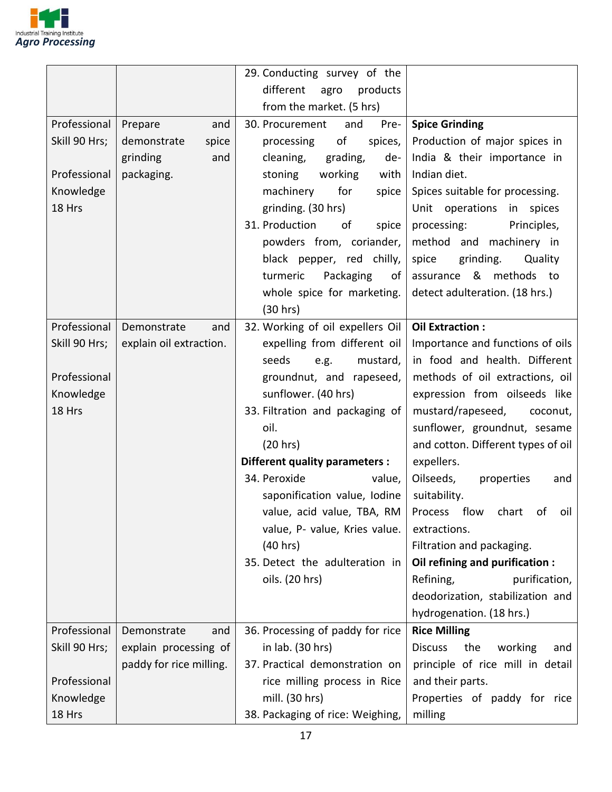

|               |                         | 29. Conducting survey of the     |                                                        |
|---------------|-------------------------|----------------------------------|--------------------------------------------------------|
|               |                         | different<br>products<br>agro    |                                                        |
|               |                         | from the market. (5 hrs)         |                                                        |
| Professional  | Prepare<br>and          | 30. Procurement<br>and<br>Pre-   | <b>Spice Grinding</b>                                  |
| Skill 90 Hrs; | demonstrate<br>spice    | of<br>spices,<br>processing      | Production of major spices in                          |
|               | grinding<br>and         | grading,<br>cleaning,<br>de-     | India & their importance in                            |
| Professional  | packaging.              | working<br>with<br>stoning       | Indian diet.                                           |
| Knowledge     |                         | machinery<br>for<br>spice        | Spices suitable for processing.                        |
| 18 Hrs        |                         | grinding. (30 hrs)               | Unit operations in spices                              |
|               |                         | 31. Production<br>of<br>spice    | processing:<br>Principles,                             |
|               |                         | powders from, coriander,         | method and machinery in                                |
|               |                         | black pepper, red chilly,        | spice<br>grinding.<br>Quality                          |
|               |                         | turmeric<br>Packaging<br>of      | assurance & methods to                                 |
|               |                         | whole spice for marketing.       | detect adulteration. (18 hrs.)                         |
|               |                         | (30 hrs)                         |                                                        |
| Professional  | Demonstrate<br>and      | 32. Working of oil expellers Oil | <b>Oil Extraction:</b>                                 |
| Skill 90 Hrs; | explain oil extraction. | expelling from different oil     | Importance and functions of oils                       |
|               |                         | seeds<br>mustard,<br>e.g.        | in food and health. Different                          |
| Professional  |                         | groundnut, and rapeseed,         | methods of oil extractions, oil                        |
| Knowledge     |                         | sunflower. (40 hrs)              | expression from oilseeds like                          |
| 18 Hrs        |                         | 33. Filtration and packaging of  | mustard/rapeseed,<br>coconut,                          |
|               |                         | oil.                             | sunflower, groundnut, sesame                           |
|               |                         | (20 hrs)                         | and cotton. Different types of oil                     |
|               |                         | Different quality parameters :   | expellers.                                             |
|               |                         | 34. Peroxide<br>value,           | Oilseeds,<br>properties<br>and                         |
|               |                         | saponification value, Iodine     | suitability.                                           |
|               |                         |                                  | value, acid value, TBA, RM   Process flow chart of oil |
|               |                         | value, P- value, Kries value.    | extractions.                                           |
|               |                         | (40 hrs)                         | Filtration and packaging.                              |
|               |                         | 35. Detect the adulteration in   | Oil refining and purification :                        |
|               |                         | oils. (20 hrs)                   | Refining,<br>purification,                             |
|               |                         |                                  | deodorization, stabilization and                       |
|               |                         |                                  | hydrogenation. (18 hrs.)                               |
| Professional  | Demonstrate<br>and      | 36. Processing of paddy for rice | <b>Rice Milling</b>                                    |
| Skill 90 Hrs; | explain processing of   | in lab. (30 hrs)                 | <b>Discuss</b><br>the<br>working<br>and                |
|               | paddy for rice milling. | 37. Practical demonstration on   | principle of rice mill in detail                       |
| Professional  |                         | rice milling process in Rice     | and their parts.                                       |
| Knowledge     |                         | mill. (30 hrs)                   | Properties of paddy for rice                           |
| 18 Hrs        |                         | 38. Packaging of rice: Weighing, | milling                                                |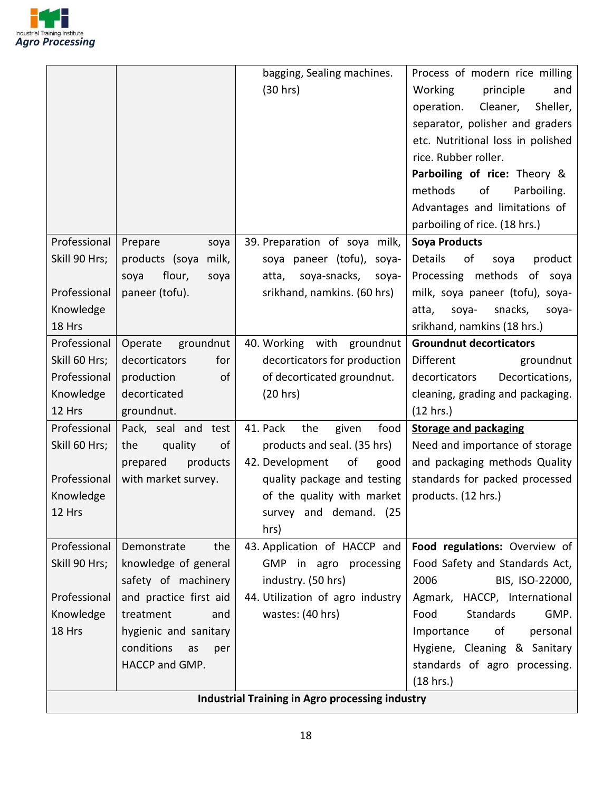

|                     |                                             | <b>Industrial Training in Agro processing industry</b>       |                                                                 |
|---------------------|---------------------------------------------|--------------------------------------------------------------|-----------------------------------------------------------------|
|                     |                                             |                                                              | (18 hrs.)                                                       |
|                     | HACCP and GMP.                              |                                                              | standards of agro processing.                                   |
|                     | conditions<br>as<br>per                     |                                                              | Hygiene, Cleaning & Sanitary                                    |
| 18 Hrs              | hygienic and sanitary                       |                                                              | of<br>Importance<br>personal                                    |
| Knowledge           | treatment<br>and                            | wastes: (40 hrs)                                             | <b>Standards</b><br>GMP.<br>Food                                |
| Professional        | and practice first aid                      | 44. Utilization of agro industry                             | Agmark, HACCP, International                                    |
|                     | safety of machinery                         | industry. (50 hrs)                                           | 2006<br>BIS, ISO-22000,                                         |
| Skill 90 Hrs;       | knowledge of general                        | GMP in agro processing                                       | Food Safety and Standards Act,                                  |
| Professional        | Demonstrate<br>the                          | 43. Application of HACCP and                                 | Food regulations: Overview of                                   |
|                     |                                             | hrs)                                                         |                                                                 |
| Knowledge<br>12 Hrs |                                             | survey and demand. (25                                       |                                                                 |
|                     |                                             | of the quality with market                                   | products. (12 hrs.)                                             |
| Professional        | products<br>prepared<br>with market survey. | 42. Development<br>οf<br>good<br>quality package and testing | and packaging methods Quality<br>standards for packed processed |
| Skill 60 Hrs;       | quality<br>the<br>οf                        | products and seal. (35 hrs)                                  | Need and importance of storage                                  |
|                     |                                             |                                                              | <b>Storage and packaging</b>                                    |
| Professional        | Pack, seal and test                         | 41. Pack<br>the<br>food<br>given                             |                                                                 |
| 12 Hrs              | groundnut.                                  |                                                              | (12 hrs.)                                                       |
| Knowledge           | decorticated                                | (20 hrs)                                                     | cleaning, grading and packaging.                                |
| Professional        | production<br>of                            | of decorticated groundnut.                                   | Decortications,<br>decorticators                                |
| Skill 60 Hrs;       | decorticators<br>for                        | decorticators for production                                 | Different<br>groundnut                                          |
| Professional        | groundnut<br>Operate                        | 40. Working with groundnut                                   | <b>Groundnut decorticators</b>                                  |
| 18 Hrs              |                                             |                                                              | srikhand, namkins (18 hrs.)                                     |
| Knowledge           |                                             |                                                              | snacks,<br>atta,<br>soya-<br>soya-                              |
| Professional        | paneer (tofu).                              | srikhand, namkins. (60 hrs)                                  | milk, soya paneer (tofu), soya-                                 |
|                     | flour,<br>soya<br>soya                      | soya-snacks,<br>atta,<br>soya-                               | Processing methods<br>of soya                                   |
| Skill 90 Hrs;       | products (soya<br>milk,                     | soya paneer (tofu), soya-                                    | Details<br>οf<br>product<br>soya                                |
| Professional        | Prepare<br>soya                             | 39. Preparation of soya milk,                                | <b>Soya Products</b>                                            |
|                     |                                             |                                                              | parboiling of rice. (18 hrs.)                                   |
|                     |                                             |                                                              | Advantages and limitations of                                   |
|                     |                                             |                                                              | methods<br>Parboiling.<br>οf                                    |
|                     |                                             |                                                              | Parboiling of rice: Theory &                                    |
|                     |                                             |                                                              | rice. Rubber roller.                                            |
|                     |                                             |                                                              | etc. Nutritional loss in polished                               |
|                     |                                             |                                                              | separator, polisher and graders                                 |
|                     |                                             |                                                              | Sheller,<br>operation.<br>Cleaner,                              |
|                     |                                             | (30 hrs)                                                     | principle<br><b>Working</b><br>and                              |
|                     |                                             | bagging, Sealing machines.                                   | Process of modern rice milling                                  |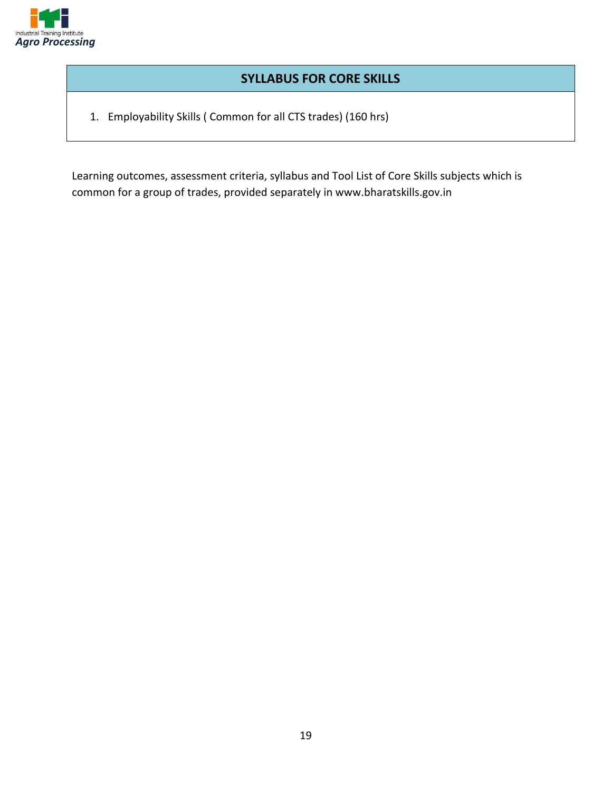

#### **SYLLABUS FOR CORE SKILLS**

1. Employability Skills ( Common for all CTS trades) (160 hrs)

Learning outcomes, assessment criteria, syllabus and Tool List of Core Skills subjects which is common for a group of trades, provided separately in www.bharatskills.gov.in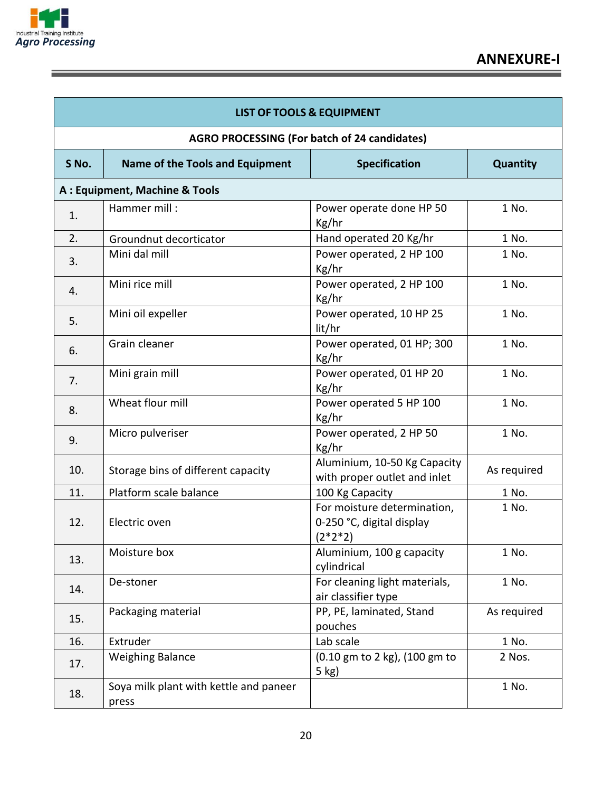

| <b>LIST OF TOOLS &amp; EQUIPMENT</b>         |                                                 |                                                                       |                 |
|----------------------------------------------|-------------------------------------------------|-----------------------------------------------------------------------|-----------------|
| AGRO PROCESSING (For batch of 24 candidates) |                                                 |                                                                       |                 |
| S No.                                        | Name of the Tools and Equipment                 | <b>Specification</b>                                                  | <b>Quantity</b> |
|                                              | A: Equipment, Machine & Tools                   |                                                                       |                 |
| 1.                                           | Hammer mill:                                    | Power operate done HP 50<br>Kg/hr                                     | 1 No.           |
| 2.                                           | Groundnut decorticator                          | Hand operated 20 Kg/hr                                                | 1 No.           |
| 3.                                           | Mini dal mill                                   | Power operated, 2 HP 100<br>Kg/hr                                     | 1 No.           |
| 4.                                           | Mini rice mill                                  | Power operated, 2 HP 100<br>Kg/hr                                     | 1 No.           |
| 5.                                           | Mini oil expeller                               | Power operated, 10 HP 25<br>lit/hr                                    | 1 No.           |
| 6.                                           | Grain cleaner                                   | Power operated, 01 HP; 300<br>Kg/hr                                   | 1 No.           |
| 7.                                           | Mini grain mill                                 | Power operated, 01 HP 20<br>Kg/hr                                     | 1 No.           |
| 8.                                           | Wheat flour mill                                | Power operated 5 HP 100<br>Kg/hr                                      | 1 No.           |
| 9.                                           | Micro pulveriser                                | Power operated, 2 HP 50<br>Kg/hr                                      | 1 No.           |
| 10.                                          | Storage bins of different capacity              | Aluminium, 10-50 Kg Capacity<br>with proper outlet and inlet          | As required     |
| 11.                                          | Platform scale balance                          | 100 Kg Capacity                                                       | 1 No.           |
| 12.                                          | Electric oven                                   | For moisture determination,<br>0-250 °C, digital display<br>$(2*2*2)$ | 1 No.           |
| 13.                                          | Moisture box                                    | Aluminium, 100 g capacity<br>cylindrical                              | 1 No.           |
| 14.                                          | De-stoner                                       | For cleaning light materials,<br>air classifier type                  | 1 No.           |
| 15.                                          | Packaging material                              | PP, PE, laminated, Stand<br>pouches                                   | As required     |
| 16.                                          | Extruder                                        | Lab scale                                                             | 1 No.           |
| 17.                                          | <b>Weighing Balance</b>                         | (0.10 gm to 2 kg), (100 gm to<br>5 kg)                                | 2 Nos.          |
| 18.                                          | Soya milk plant with kettle and paneer<br>press |                                                                       | 1 No.           |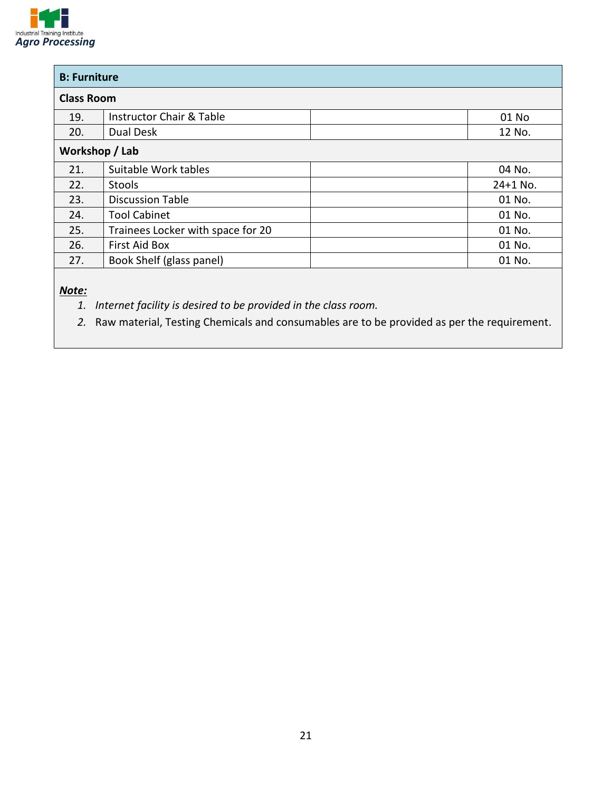

| <b>B: Furniture</b> |                                     |            |
|---------------------|-------------------------------------|------------|
| <b>Class Room</b>   |                                     |            |
| 19.                 | <b>Instructor Chair &amp; Table</b> | 01 No      |
| 20.                 | Dual Desk                           | 12 No.     |
| Workshop / Lab      |                                     |            |
| 21.                 | Suitable Work tables                | 04 No.     |
| 22.                 | <b>Stools</b>                       | $24+1$ No. |
| 23.                 | <b>Discussion Table</b>             | 01 No.     |
| 24.                 | <b>Tool Cabinet</b>                 | 01 No.     |
| 25.                 | Trainees Locker with space for 20   | 01 No.     |
| 26.                 | <b>First Aid Box</b>                | 01 No.     |
| 27.                 | Book Shelf (glass panel)            | 01 No.     |

*Note:*

*1. Internet facility is desired to be provided in the class room.*

*2.* Raw material, Testing Chemicals and consumables are to be provided as per the requirement.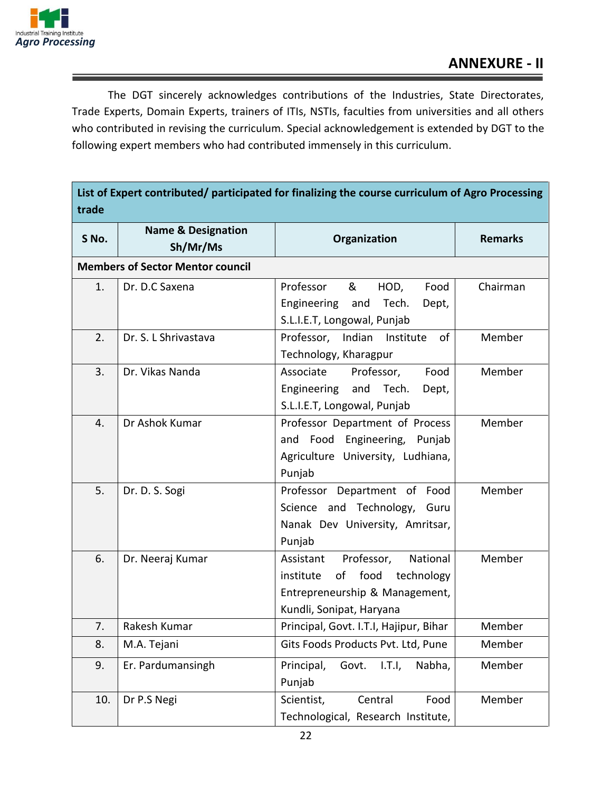

The DGT sincerely acknowledges contributions of the Industries, State Directorates, Trade Experts, Domain Experts, trainers of ITIs, NSTIs, faculties from universities and all others who contributed in revising the curriculum. Special acknowledgement is extended by DGT to the following expert members who had contributed immensely in this curriculum.

| List of Expert contributed/ participated for finalizing the course curriculum of Agro Processing<br>trade |                                           |                                                                                                                                      |                |
|-----------------------------------------------------------------------------------------------------------|-------------------------------------------|--------------------------------------------------------------------------------------------------------------------------------------|----------------|
| S No.                                                                                                     | <b>Name &amp; Designation</b><br>Sh/Mr/Ms | Organization                                                                                                                         | <b>Remarks</b> |
| <b>Members of Sector Mentor council</b>                                                                   |                                           |                                                                                                                                      |                |
| 1.                                                                                                        | Dr. D.C Saxena                            | Professor<br>&<br>HOD,<br>Food<br>Engineering<br>and<br>Tech.<br>Dept,<br>S.L.I.E.T, Longowal, Punjab                                | Chairman       |
| 2.                                                                                                        | Dr. S. L Shrivastava                      | of<br>Professor, Indian<br>Institute<br>Technology, Kharagpur                                                                        | Member         |
| 3.                                                                                                        | Dr. Vikas Nanda                           | Professor,<br>Associate<br>Food<br>Engineering<br>and Tech.<br>Dept,<br>S.L.I.E.T, Longowal, Punjab                                  | Member         |
| 4.                                                                                                        | Dr Ashok Kumar                            | Professor Department of Process<br>and Food Engineering, Punjab<br>Agriculture University, Ludhiana,<br>Punjab                       | Member         |
| 5.                                                                                                        | Dr. D. S. Sogi                            | Professor Department of Food<br>Science and Technology,<br>Guru<br>Nanak Dev University, Amritsar,<br>Punjab                         | Member         |
| 6.                                                                                                        | Dr. Neeraj Kumar                          | Professor,<br>National<br>Assistant<br>of food technology<br>institute<br>Entrepreneurship & Management,<br>Kundli, Sonipat, Haryana | Member         |
| 7.                                                                                                        | Rakesh Kumar                              | Principal, Govt. I.T.I, Hajipur, Bihar                                                                                               | Member         |
| 8.                                                                                                        | M.A. Tejani                               | Gits Foods Products Pvt. Ltd, Pune                                                                                                   | Member         |
| 9.                                                                                                        | Er. Pardumansingh                         | Principal,<br>Govt.<br>1.T.l.<br>Nabha,<br>Punjab                                                                                    | Member         |
| 10.                                                                                                       | Dr P.S Negi                               | Central<br>Food<br>Scientist,<br>Technological, Research Institute,                                                                  | Member         |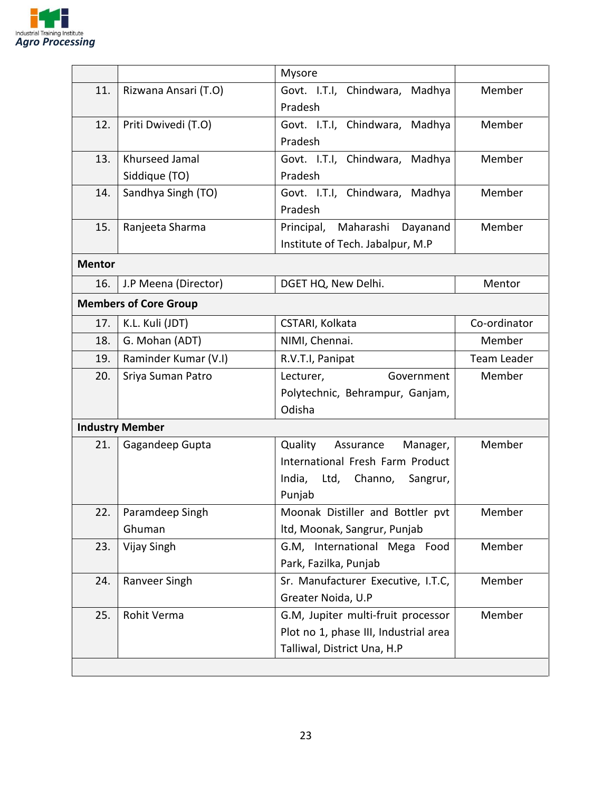

|               |                              | Mysore                                                                                                               |              |
|---------------|------------------------------|----------------------------------------------------------------------------------------------------------------------|--------------|
| 11.           | Rizwana Ansari (T.O)         | Govt. I.T.I, Chindwara,<br>Madhya<br>Pradesh                                                                         | Member       |
| 12.           | Priti Dwivedi (T.O)          | Govt. I.T.I, Chindwara, Madhya                                                                                       | Member       |
|               |                              | Pradesh                                                                                                              |              |
| 13.           | Khurseed Jamal               | Govt. I.T.I, Chindwara, Madhya                                                                                       | Member       |
|               | Siddique (TO)                | Pradesh                                                                                                              |              |
| 14.           | Sandhya Singh (TO)           | Govt. I.T.I, Chindwara, Madhya<br>Pradesh                                                                            | Member       |
| 15.           | Ranjeeta Sharma              | Maharashi Dayanand<br>Principal,<br>Institute of Tech. Jabalpur, M.P                                                 | Member       |
| <b>Mentor</b> |                              |                                                                                                                      |              |
| 16.           | J.P Meena (Director)         | DGET HQ, New Delhi.                                                                                                  | Mentor       |
|               | <b>Members of Core Group</b> |                                                                                                                      |              |
| 17.           | K.L. Kuli (JDT)              | CSTARI, Kolkata                                                                                                      | Co-ordinator |
| 18.           | G. Mohan (ADT)               | NIMI, Chennai.<br>Member                                                                                             |              |
| 19.           | Raminder Kumar (V.I)         | R.V.T.I, Panipat<br>Team Leader                                                                                      |              |
| 20.           | Sriya Suman Patro            | Member<br>Lecturer,<br>Government<br>Polytechnic, Behrampur, Ganjam,<br>Odisha                                       |              |
|               | <b>Industry Member</b>       |                                                                                                                      |              |
| 21.           | Gagandeep Gupta              | Quality<br>Assurance<br>Manager,<br>International Fresh Farm Product<br>India, Ltd, Channo, Sangrur,<br>Punjab       | Member       |
| 22.           | Paramdeep Singh<br>Ghuman    | Moonak Distiller and Bottler pvt<br>Itd, Moonak, Sangrur, Punjab                                                     | Member       |
| 23.           | Vijay Singh                  | G.M, International Mega Food<br>Park, Fazilka, Punjab                                                                | Member       |
| 24.           | Ranveer Singh                | Sr. Manufacturer Executive, I.T.C,<br>Greater Noida, U.P                                                             | Member       |
| 25.           | Rohit Verma                  | Member<br>G.M, Jupiter multi-fruit processor<br>Plot no 1, phase III, Industrial area<br>Talliwal, District Una, H.P |              |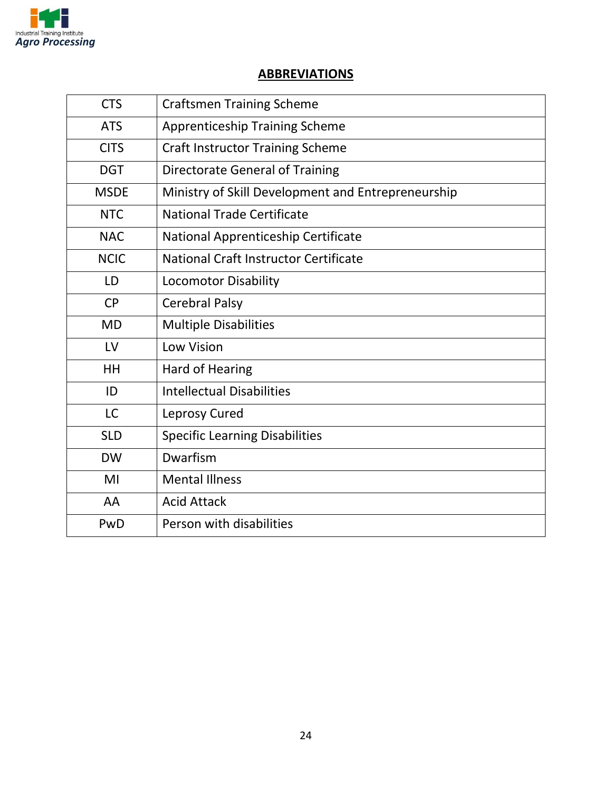

#### **ABBREVIATIONS**

| <b>CTS</b>  | <b>Craftsmen Training Scheme</b>                   |
|-------------|----------------------------------------------------|
| <b>ATS</b>  | <b>Apprenticeship Training Scheme</b>              |
| <b>CITS</b> | <b>Craft Instructor Training Scheme</b>            |
| <b>DGT</b>  | <b>Directorate General of Training</b>             |
| <b>MSDE</b> | Ministry of Skill Development and Entrepreneurship |
| <b>NTC</b>  | <b>National Trade Certificate</b>                  |
| <b>NAC</b>  | National Apprenticeship Certificate                |
| <b>NCIC</b> | National Craft Instructor Certificate              |
| LD          | <b>Locomotor Disability</b>                        |
| <b>CP</b>   | <b>Cerebral Palsy</b>                              |
| <b>MD</b>   | <b>Multiple Disabilities</b>                       |
| LV          | <b>Low Vision</b>                                  |
| HH          | <b>Hard of Hearing</b>                             |
| ID          | <b>Intellectual Disabilities</b>                   |
| <b>LC</b>   | Leprosy Cured                                      |
| <b>SLD</b>  | <b>Specific Learning Disabilities</b>              |
| <b>DW</b>   | Dwarfism                                           |
| MI          | <b>Mental Illness</b>                              |
| AA          | <b>Acid Attack</b>                                 |
| PwD         | Person with disabilities                           |